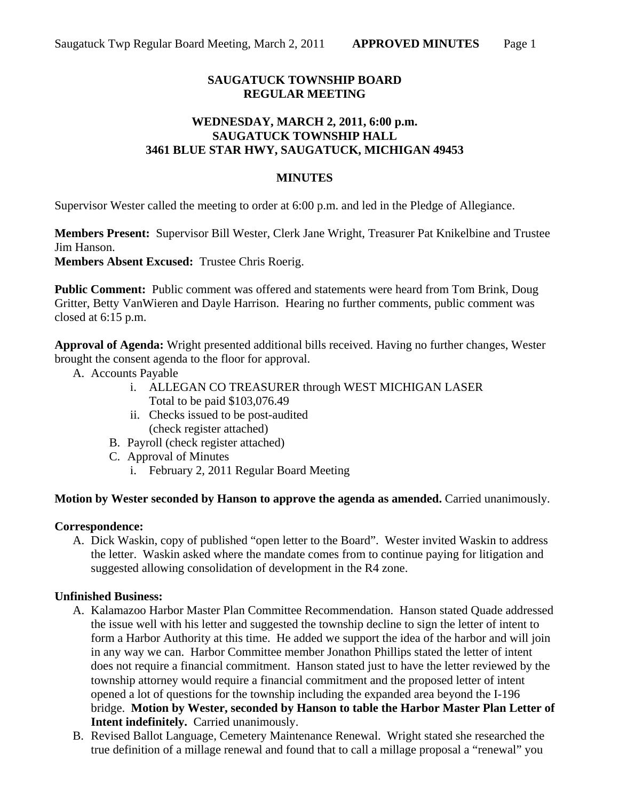# **SAUGATUCK TOWNSHIP BOARD REGULAR MEETING**

### **WEDNESDAY, MARCH 2, 2011, 6:00 p.m. SAUGATUCK TOWNSHIP HALL 3461 BLUE STAR HWY, SAUGATUCK, MICHIGAN 49453**

### **MINUTES**

Supervisor Wester called the meeting to order at 6:00 p.m. and led in the Pledge of Allegiance.

**Members Present:** Supervisor Bill Wester, Clerk Jane Wright, Treasurer Pat Knikelbine and Trustee Jim Hanson.

**Members Absent Excused:** Trustee Chris Roerig.

**Public Comment:** Public comment was offered and statements were heard from Tom Brink, Doug Gritter, Betty VanWieren and Dayle Harrison. Hearing no further comments, public comment was closed at 6:15 p.m.

**Approval of Agenda:** Wright presented additional bills received. Having no further changes, Wester brought the consent agenda to the floor for approval.

- A. Accounts Payable
	- i. ALLEGAN CO TREASURER through WEST MICHIGAN LASER Total to be paid \$103,076.49
	- ii. Checks issued to be post-audited (check register attached)
	- B. Payroll (check register attached)
	- C. Approval of Minutes
		- i. February 2, 2011 Regular Board Meeting

#### **Motion by Wester seconded by Hanson to approve the agenda as amended.** Carried unanimously.

#### **Correspondence:**

A. Dick Waskin, copy of published "open letter to the Board". Wester invited Waskin to address the letter. Waskin asked where the mandate comes from to continue paying for litigation and suggested allowing consolidation of development in the R4 zone.

#### **Unfinished Business:**

- A. Kalamazoo Harbor Master Plan Committee Recommendation. Hanson stated Quade addressed the issue well with his letter and suggested the township decline to sign the letter of intent to form a Harbor Authority at this time. He added we support the idea of the harbor and will join in any way we can. Harbor Committee member Jonathon Phillips stated the letter of intent does not require a financial commitment. Hanson stated just to have the letter reviewed by the township attorney would require a financial commitment and the proposed letter of intent opened a lot of questions for the township including the expanded area beyond the I-196 bridge. **Motion by Wester, seconded by Hanson to table the Harbor Master Plan Letter of Intent indefinitely.** Carried unanimously.
- B. Revised Ballot Language, Cemetery Maintenance Renewal. Wright stated she researched the true definition of a millage renewal and found that to call a millage proposal a "renewal" you